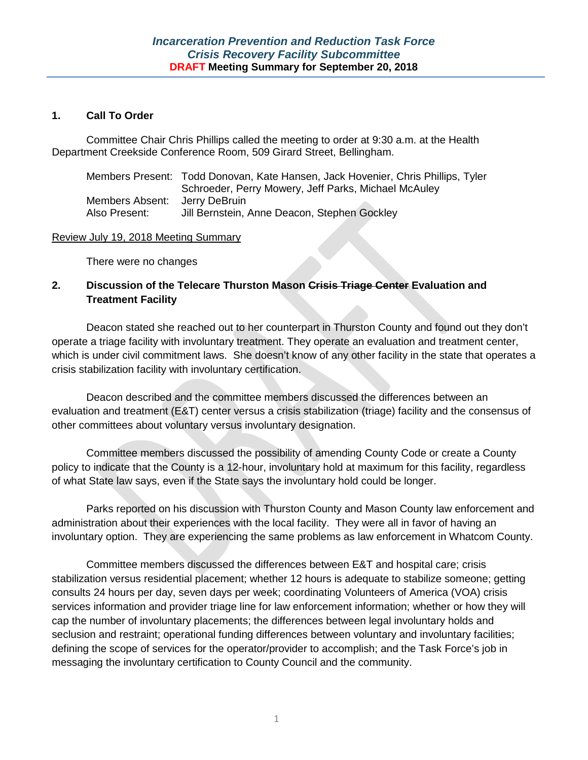#### **1. Call To Order**

Committee Chair Chris Phillips called the meeting to order at 9:30 a.m. at the Health Department Creekside Conference Room, 509 Girard Street, Bellingham.

|                 | Members Present: Todd Donovan, Kate Hansen, Jack Hovenier, Chris Phillips, Tyler |
|-----------------|----------------------------------------------------------------------------------|
|                 | Schroeder, Perry Mowery, Jeff Parks, Michael McAuley                             |
| Members Absent: | Jerry DeBruin                                                                    |
| Also Present:   | Jill Bernstein, Anne Deacon, Stephen Gockley                                     |

#### Review July 19, 2018 Meeting Summary

There were no changes

## **2. Discussion of the Telecare Thurston Mason Crisis Triage Center Evaluation and Treatment Facility**

Deacon stated she reached out to her counterpart in Thurston County and found out they don't operate a triage facility with involuntary treatment. They operate an evaluation and treatment center, which is under civil commitment laws. She doesn't know of any other facility in the state that operates a crisis stabilization facility with involuntary certification.

Deacon described and the committee members discussed the differences between an evaluation and treatment (E&T) center versus a crisis stabilization (triage) facility and the consensus of other committees about voluntary versus involuntary designation.

Committee members discussed the possibility of amending County Code or create a County policy to indicate that the County is a 12-hour, involuntary hold at maximum for this facility, regardless of what State law says, even if the State says the involuntary hold could be longer.

Parks reported on his discussion with Thurston County and Mason County law enforcement and administration about their experiences with the local facility. They were all in favor of having an involuntary option. They are experiencing the same problems as law enforcement in Whatcom County.

Committee members discussed the differences between E&T and hospital care; crisis stabilization versus residential placement; whether 12 hours is adequate to stabilize someone; getting consults 24 hours per day, seven days per week; coordinating Volunteers of America (VOA) crisis services information and provider triage line for law enforcement information; whether or how they will cap the number of involuntary placements; the differences between legal involuntary holds and seclusion and restraint; operational funding differences between voluntary and involuntary facilities; defining the scope of services for the operator/provider to accomplish; and the Task Force's job in messaging the involuntary certification to County Council and the community.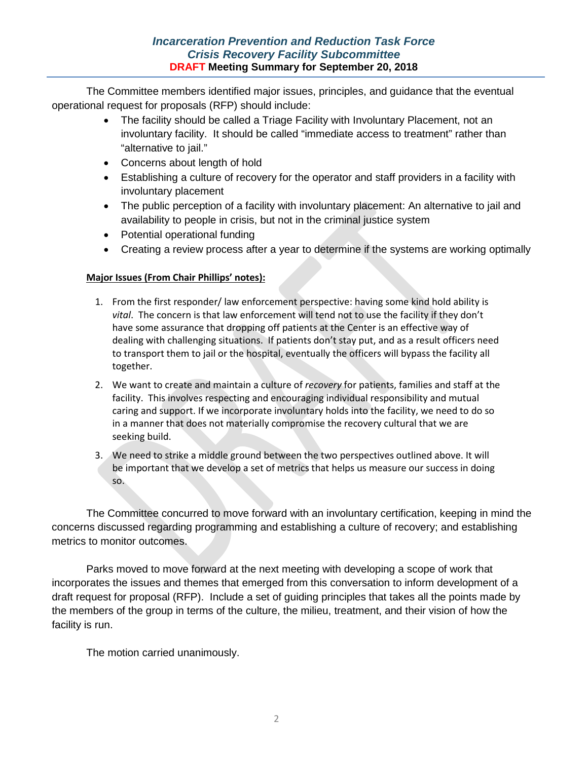The Committee members identified major issues, principles, and guidance that the eventual operational request for proposals (RFP) should include:

- The facility should be called a Triage Facility with Involuntary Placement, not an involuntary facility. It should be called "immediate access to treatment" rather than "alternative to jail."
- Concerns about length of hold
- Establishing a culture of recovery for the operator and staff providers in a facility with involuntary placement
- The public perception of a facility with involuntary placement: An alternative to jail and availability to people in crisis, but not in the criminal justice system
- Potential operational funding
- Creating a review process after a year to determine if the systems are working optimally

# **Major Issues (From Chair Phillips' notes):**

- 1. From the first responder/ law enforcement perspective: having some kind hold ability is *vital*. The concern is that law enforcement will tend not to use the facility if they don't have some assurance that dropping off patients at the Center is an effective way of dealing with challenging situations. If patients don't stay put, and as a result officers need to transport them to jail or the hospital, eventually the officers will bypass the facility all together.
- 2. We want to create and maintain a culture of *recovery* for patients, families and staff at the facility. This involves respecting and encouraging individual responsibility and mutual caring and support. If we incorporate involuntary holds into the facility, we need to do so in a manner that does not materially compromise the recovery cultural that we are seeking build.
- 3. We need to strike a middle ground between the two perspectives outlined above. It will be important that we develop a set of metrics that helps us measure our success in doing so.

The Committee concurred to move forward with an involuntary certification, keeping in mind the concerns discussed regarding programming and establishing a culture of recovery; and establishing metrics to monitor outcomes.

Parks moved to move forward at the next meeting with developing a scope of work that incorporates the issues and themes that emerged from this conversation to inform development of a draft request for proposal (RFP). Include a set of guiding principles that takes all the points made by the members of the group in terms of the culture, the milieu, treatment, and their vision of how the facility is run.

The motion carried unanimously.